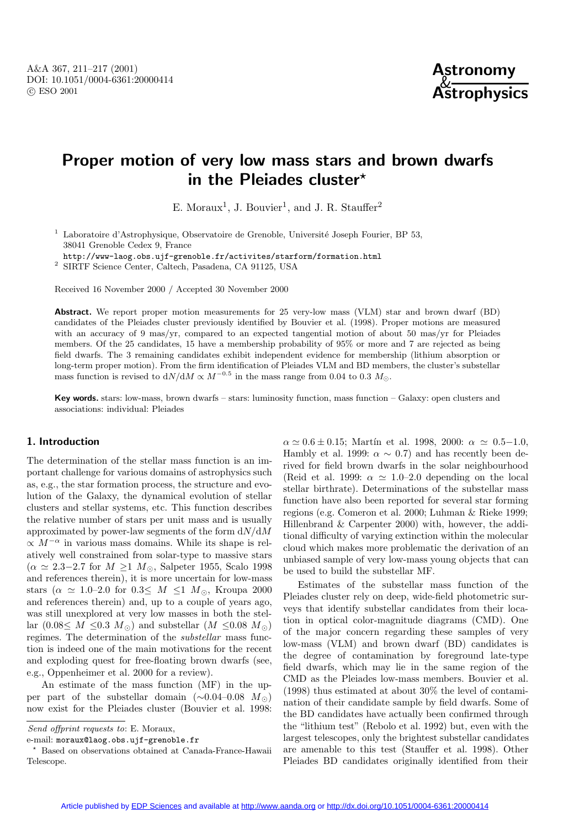

# **Proper motion of very low mass stars and brown dwarfs in the Pleiades cluster***?*

E. Moraux<sup>1</sup>, J. Bouvier<sup>1</sup>, and J. R. Stauffer<sup>2</sup>

<sup>1</sup> Laboratoire d'Astrophysique, Observatoire de Grenoble, Université Joseph Fourier, BP 53, 38041 Grenoble Cedex 9, France

http://www-laog.obs.ujf-grenoble.fr/activites/starform/formation.html

<sup>2</sup> SIRTF Science Center, Caltech, Pasadena, CA 91125, USA

Received 16 November 2000 / Accepted 30 November 2000

**Abstract.** We report proper motion measurements for 25 very-low mass (VLM) star and brown dwarf (BD) candidates of the Pleiades cluster previously identified by Bouvier et al. (1998). Proper motions are measured with an accuracy of 9 mas/yr, compared to an expected tangential motion of about 50 mas/yr for Pleiades members. Of the 25 candidates, 15 have a membership probability of 95% or more and 7 are rejected as being field dwarfs. The 3 remaining candidates exhibit independent evidence for membership (lithium absorption or long-term proper motion). From the firm identification of Pleiades VLM and BD members, the cluster's substellar mass function is revised to  $dN/dM \propto M^{-0.5}$  in the mass range from 0.04 to 0.3  $M_{\odot}$ .

**Key words.** stars: low-mass, brown dwarfs – stars: luminosity function, mass function – Galaxy: open clusters and associations: individual: Pleiades

## **1. Introduction**

The determination of the stellar mass function is an important challenge for various domains of astrophysics such as, e.g., the star formation process, the structure and evolution of the Galaxy, the dynamical evolution of stellar clusters and stellar systems, etc. This function describes the relative number of stars per unit mass and is usually approximated by power-law segments of the form  $dN/dM$  $\propto M^{-\alpha}$  in various mass domains. While its shape is relatively well constrained from solar-type to massive stars  $(\alpha \simeq 2.3-2.7$  for  $M \geq 1$   $M_{\odot}$ , Salpeter 1955, Scalo 1998 and references therein), it is more uncertain for low-mass stars ( $\alpha \simeq 1.0{\text -}2.0$  for  $0.3{\leq} M {\leq}1$   $M_{\odot}$ , Kroupa 2000 and references therein) and, up to a couple of years ago, was still unexplored at very low masses in both the stellar  $(0.08 \leq M \leq 0.3 M_{\odot})$  and substellar  $(M \leq 0.08 M_{\odot})$ regimes. The determination of the substellar mass function is indeed one of the main motivations for the recent and exploding quest for free-floating brown dwarfs (see, e.g., Oppenheimer et al. 2000 for a review).

An estimate of the mass function (MF) in the upper part of the substellar domain  $(\sim 0.04-0.08$   $M_{\odot})$ now exist for the Pleiades cluster (Bouvier et al. 1998:

Send offprint requests to: E. Moraux,

e-mail: moraux@laog.obs.ujf-grenoble.fr

 $\alpha \simeq 0.6 \pm 0.15$ ; Martín et al. 1998, 2000:  $\alpha \simeq 0.5-1.0$ , Hambly et al. 1999:  $\alpha \sim 0.7$  and has recently been derived for field brown dwarfs in the solar neighbourhood (Reid et al. 1999:  $\alpha \approx 1.0{\text -}2.0$  depending on the local stellar birthrate). Determinations of the substellar mass function have also been reported for several star forming regions (e.g. Comeron et al. 2000; Luhman & Rieke 1999; Hillenbrand & Carpenter 2000) with, however, the additional difficulty of varying extinction within the molecular cloud which makes more problematic the derivation of an unbiased sample of very low-mass young objects that can be used to build the substellar MF.

Estimates of the substellar mass function of the Pleiades cluster rely on deep, wide-field photometric surveys that identify substellar candidates from their location in optical color-magnitude diagrams (CMD). One of the major concern regarding these samples of very low-mass (VLM) and brown dwarf (BD) candidates is the degree of contamination by foreground late-type field dwarfs, which may lie in the same region of the CMD as the Pleiades low-mass members. Bouvier et al. (1998) thus estimated at about 30% the level of contamination of their candidate sample by field dwarfs. Some of the BD candidates have actually been confirmed through the "lithium test" (Rebolo et al. 1992) but, even with the largest telescopes, only the brightest substellar candidates are amenable to this test (Stauffer et al. 1998). Other Pleiades BD candidates originally identified from their

<sup>?</sup> Based on observations obtained at Canada-France-Hawaii Telescope.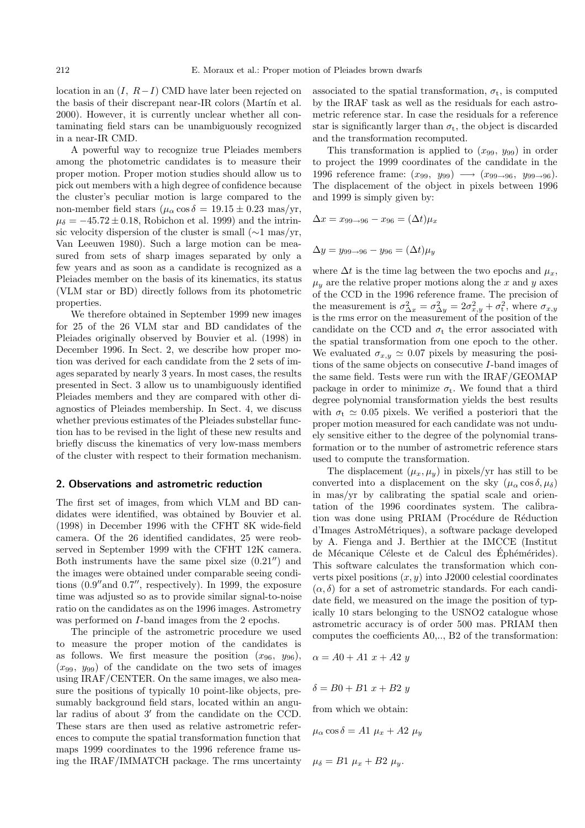location in an  $(I, R-I)$  CMD have later been rejected on the basis of their discrepant near-IR colors (Martín et al. 2000). However, it is currently unclear whether all contaminating field stars can be unambiguously recognized in a near-IR CMD.

A powerful way to recognize true Pleiades members among the photometric candidates is to measure their proper motion. Proper motion studies should allow us to pick out members with a high degree of confidence because the cluster's peculiar motion is large compared to the non-member field stars  $(\mu_{\alpha} \cos \delta = 19.15 \pm 0.23 \text{ mas/yr},$  $\mu_{\delta} = -45.72 \pm 0.18$ , Robichon et al. 1999) and the intrinsic velocity dispersion of the cluster is small (∼1 mas/yr, Van Leeuwen 1980). Such a large motion can be measured from sets of sharp images separated by only a few years and as soon as a candidate is recognized as a Pleiades member on the basis of its kinematics, its status (VLM star or BD) directly follows from its photometric properties.

We therefore obtained in September 1999 new images for 25 of the 26 VLM star and BD candidates of the Pleiades originally observed by Bouvier et al. (1998) in December 1996. In Sect. 2, we describe how proper motion was derived for each candidate from the 2 sets of images separated by nearly 3 years. In most cases, the results presented in Sect. 3 allow us to unambiguously identified Pleiades members and they are compared with other diagnostics of Pleiades membership. In Sect. 4, we discuss whether previous estimates of the Pleiades substellar function has to be revised in the light of these new results and briefly discuss the kinematics of very low-mass members of the cluster with respect to their formation mechanism.

#### **2. Observations and astrometric reduction**

The first set of images, from which VLM and BD candidates were identified, was obtained by Bouvier et al. (1998) in December 1996 with the CFHT 8K wide-field camera. Of the 26 identified candidates, 25 were reobserved in September 1999 with the CFHT 12K camera. Both instruments have the same pixel size  $(0.21'')$  and the images were obtained under comparable seeing conditions  $(0.9''$  and  $0.7''$ , respectively). In 1999, the exposure time was adjusted so as to provide similar signal-to-noise ratio on the candidates as on the 1996 images. Astrometry was performed on *I*-band images from the 2 epochs.

The principle of the astrometric procedure we used to measure the proper motion of the candidates is as follows. We first measure the position  $(x_{96}, y_{96})$ ,  $(x_{99}, y_{99})$  of the candidate on the two sets of images using IRAF/CENTER. On the same images, we also measure the positions of typically 10 point-like objects, presumably background field stars, located within an angular radius of about  $3'$  from the candidate on the CCD. These stars are then used as relative astrometric references to compute the spatial transformation function that maps 1999 coordinates to the 1996 reference frame using the IRAF/IMMATCH package. The rms uncertainty associated to the spatial transformation,  $\sigma_t$ , is computed by the IRAF task as well as the residuals for each astrometric reference star. In case the residuals for a reference star is significantly larger than  $\sigma_t$ , the object is discarded and the transformation recomputed.

This transformation is applied to  $(x_{99}, y_{99})$  in order to project the 1999 coordinates of the candidate in the 1996 reference frame:  $(x_{99}, y_{99}) \longrightarrow (x_{99\rightarrow 96}, y_{99\rightarrow 96})$ . The displacement of the object in pixels between 1996 and 1999 is simply given by:

$$
\Delta x = x_{99 \to 96} - x_{96} = (\Delta t) \mu_x
$$

$$
\Delta y = y_{99 \to 96} - y_{96} = (\Delta t) \mu_y
$$

where  $\Delta t$  is the time lag between the two epochs and  $\mu_x$ ,  $\mu_y$  are the relative proper motions along the x and y axes of the CCD in the 1996 reference frame. The precision of the measurement is  $\sigma_{\Delta x}^2 = \sigma_{\Delta y}^2 = 2\sigma_{x,y}^2 + \sigma_t^2$ , where  $\sigma_{x,y}$ is the rms error on the measurement of the position of the candidate on the CCD and  $\sigma_t$  the error associated with the spatial transformation from one epoch to the other. We evaluated  $\sigma_{x,y} \simeq 0.07$  pixels by measuring the positions of the same objects on consecutive I-band images of the same field. Tests were run with the IRAF/GEOMAP package in order to minimize  $\sigma_t$ . We found that a third degree polynomial transformation yields the best results with  $\sigma_t \simeq 0.05$  pixels. We verified a posteriori that the proper motion measured for each candidate was not unduely sensitive either to the degree of the polynomial transformation or to the number of astrometric reference stars used to compute the transformation.

The displacement  $(\mu_x, \mu_y)$  in pixels/yr has still to be converted into a displacement on the sky  $(\mu_{\alpha} \cos \delta, \mu_{\delta})$ in mas/yr by calibrating the spatial scale and orientation of the 1996 coordinates system. The calibration was done using PRIAM (Procédure de Réduction d'Images AstroM´etriques), a software package developed by A. Fienga and J. Berthier at the IMCCE (Institut de Mécanique Céleste et de Calcul des Éphémérides). This software calculates the transformation which converts pixel positions  $(x, y)$  into J2000 celestial coordinates  $(\alpha, \delta)$  for a set of astrometric standards. For each candidate field, we measured on the image the position of typically 10 stars belonging to the USNO2 catalogue whose astrometric accuracy is of order 500 mas. PRIAM then computes the coefficients A0,.., B2 of the transformation:

$$
\alpha = A0 + A1 \ x + A2 \ y
$$

$$
\delta = B0 + B1 \; x + B2 \; y
$$

from which we obtain:

$$
\mu_{\alpha}\cos\delta = A1 \mu_x + A2 \mu_y
$$

 $\mu_{\delta} = B1 \mu_x + B2 \mu_y.$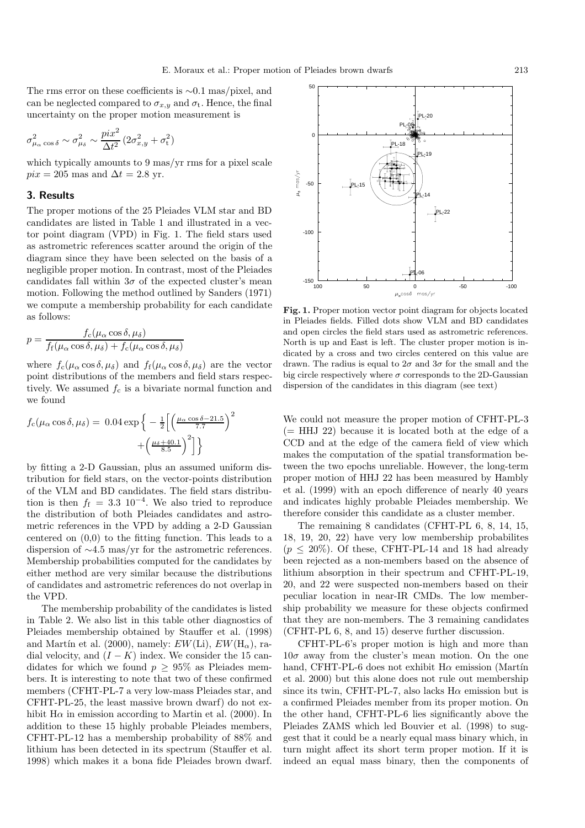The rms error on these coefficients is ∼0.1 mas/pixel, and can be neglected compared to  $\sigma_{x,y}$  and  $\sigma_t$ . Hence, the final uncertainty on the proper motion measurement is

$$
\sigma^2_{\mu_{\alpha}\cos\delta} \sim \sigma^2_{\mu_{\delta}} \sim \frac{pix^2}{\Delta t^2}\left(2\sigma^2_{x,y}+\sigma^2_{\text{t}}\right)
$$

which typically amounts to 9 mas/yr rms for a pixel scale  $pix = 205$  mas and  $\Delta t = 2.8$  yr.

## **3. Results**

The proper motions of the 25 Pleiades VLM star and BD candidates are listed in Table 1 and illustrated in a vector point diagram (VPD) in Fig. 1. The field stars used as astrometric references scatter around the origin of the diagram since they have been selected on the basis of a negligible proper motion. In contrast, most of the Pleiades candidates fall within  $3\sigma$  of the expected cluster's mean motion. Following the method outlined by Sanders (1971) we compute a membership probability for each candidate as follows:

$$
p = \frac{f_c(\mu_\alpha \cos \delta, \mu_\delta)}{f_f(\mu_\alpha \cos \delta, \mu_\delta) + f_c(\mu_\alpha \cos \delta, \mu_\delta)}
$$

where  $f_c(\mu_\alpha \cos \delta, \mu_\delta)$  and  $f_f(\mu_\alpha \cos \delta, \mu_\delta)$  are the vector point distributions of the members and field stars respectively. We assumed  $f_c$  is a bivariate normal function and we found

$$
f_{\rm c}(\mu_{\alpha}\cos\delta,\mu_{\delta}) = 0.04 \exp\left\{-\frac{1}{2}\left[\left(\frac{\mu_{\alpha}\cos\delta - 21.5}{7.7}\right)^2 + \left(\frac{\mu_{\delta} + 40.1}{8.5}\right)^2\right]\right\}
$$

by fitting a 2-D Gaussian, plus an assumed uniform distribution for field stars, on the vector-points distribution of the VLM and BD candidates. The field stars distribution is then  $f_f = 3.3 \, 10^{-4}$ . We also tried to reproduce the distribution of both Pleiades candidates and astrometric references in the VPD by adding a 2-D Gaussian centered on (0,0) to the fitting function. This leads to a dispersion of ∼4.5 mas/yr for the astrometric references. Membership probabilities computed for the candidates by either method are very similar because the distributions of candidates and astrometric references do not overlap in the VPD.

The membership probability of the candidates is listed in Table 2. We also list in this table other diagnostics of Pleiades membership obtained by Stauffer et al. (1998) and Martín et al. (2000), namely:  $EW(\text{Li})$ ,  $EW(\text{H}_{\alpha})$ , radial velocity, and  $(I - K)$  index. We consider the 15 candidates for which we found  $p > 95\%$  as Pleiades members. It is interesting to note that two of these confirmed members (CFHT-PL-7 a very low-mass Pleiades star, and CFHT-PL-25, the least massive brown dwarf) do not exhibit  $H\alpha$  in emission according to Martin et al. (2000). In addition to these 15 highly probable Pleiades members, CFHT-PL-12 has a membership probability of 88% and lithium has been detected in its spectrum (Stauffer et al. 1998) which makes it a bona fide Pleiades brown dwarf.



**Fig. 1.** Proper motion vector point diagram for objects located in Pleiades fields. Filled dots show VLM and BD candidates and open circles the field stars used as astrometric references. North is up and East is left. The cluster proper motion is indicated by a cross and two circles centered on this value are drawn. The radius is equal to  $2\sigma$  and  $3\sigma$  for the small and the big circle respectively where  $\sigma$  corresponds to the 2D-Gaussian dispersion of the candidates in this diagram (see text)

We could not measure the proper motion of CFHT-PL-3  $(= HHJ 22)$  because it is located both at the edge of a CCD and at the edge of the camera field of view which makes the computation of the spatial transformation between the two epochs unreliable. However, the long-term proper motion of HHJ 22 has been measured by Hambly et al. (1999) with an epoch difference of nearly 40 years and indicates highly probable Pleiades membership. We therefore consider this candidate as a cluster member.

The remaining 8 candidates (CFHT-PL 6, 8, 14, 15, 18, 19, 20, 22) have very low membership probabilites  $(p \leq 20\%)$ . Of these, CFHT-PL-14 and 18 had already been rejected as a non-members based on the absence of lithium absorption in their spectrum and CFHT-PL-19, 20, and 22 were suspected non-members based on their peculiar location in near-IR CMDs. The low membership probability we measure for these objects confirmed that they are non-members. The 3 remaining candidates (CFHT-PL 6, 8, and 15) deserve further discussion.

CFHT-PL-6's proper motion is high and more than  $10\sigma$  away from the cluster's mean motion. On the one hand, CFHT-PL-6 does not exhibit  $H\alpha$  emission (Martín et al. 2000) but this alone does not rule out membership since its twin, CFHT-PL-7, also lacks  $H\alpha$  emission but is a confirmed Pleiades member from its proper motion. On the other hand, CFHT-PL-6 lies significantly above the Pleiades ZAMS which led Bouvier et al. (1998) to suggest that it could be a nearly equal mass binary which, in turn might affect its short term proper motion. If it is indeed an equal mass binary, then the components of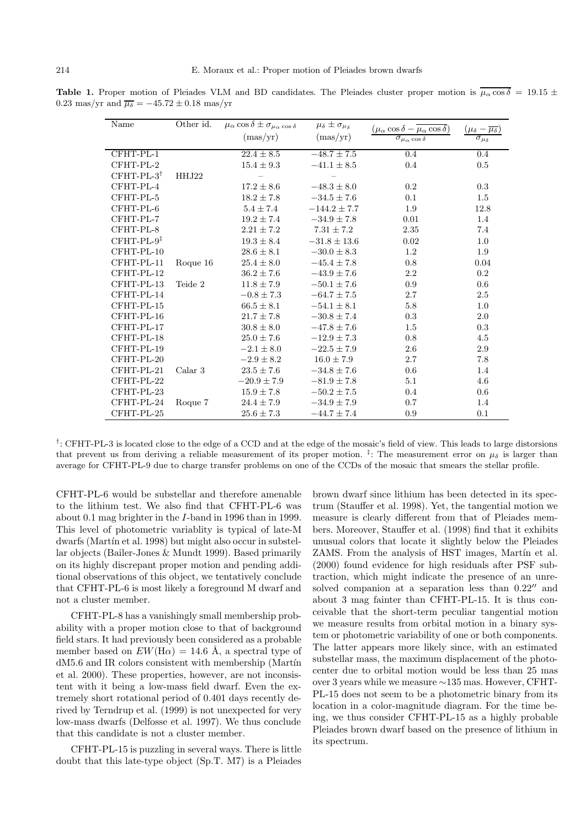**Table 1.** Proper motion of Pleiades VLM and BD candidates. The Pleiades cluster proper motion is  $\mu_{\alpha} \cos \delta = 19.15 \pm 10^{-10}$ 0.23 mas/yr and  $\overline{\mu_{\delta}} = -45.72 \pm 0.18$  mas/yr

| Name         | Other id. | $\overline{\mu_{\alpha}} \cos \delta \pm \sigma_{\mu_{\alpha} \cos \delta}$<br>(max/yr) | $\mu_{\delta} \pm \sigma_{\mu_{\delta}}$<br>(max/yr) | $(\mu_{\alpha}\cos\delta-\mu_{\alpha}\cos\delta)$<br>$\sigma_{\mu_{\alpha}\cos\delta}$ | $-\mu_{\delta}$<br>$\sigma_{\mu_{\delta}}$ |
|--------------|-----------|-----------------------------------------------------------------------------------------|------------------------------------------------------|----------------------------------------------------------------------------------------|--------------------------------------------|
|              |           |                                                                                         |                                                      |                                                                                        |                                            |
| CFHT-PL-1    |           | $22.4 \pm 8.5$                                                                          | $-48.7 \pm 7.5$                                      | 0.4                                                                                    | 0.4                                        |
| CFHT-PL-2    |           | $15.4 \pm 9.3$                                                                          | $-41.1 \pm 8.5$                                      | 0.4                                                                                    | 0.5                                        |
| $CFHT-PL-3†$ | HHJ22     |                                                                                         |                                                      |                                                                                        |                                            |
| CFHT-PL-4    |           | $17.2 \pm 8.6$                                                                          | $-48.3 \pm 8.0$                                      | 0.2                                                                                    | 0.3                                        |
| CFHT-PL-5    |           | $18.2 \pm 7.8$                                                                          | $-34.5 \pm 7.6$                                      | 0.1                                                                                    | 1.5                                        |
| CFHT-PL-6    |           | $5.4 \pm 7.4$                                                                           | $-144.2 \pm 7.7$                                     | 1.9                                                                                    | 12.8                                       |
| CFHT-PL-7    |           | $19.2 \pm 7.4$                                                                          | $-34.9 \pm 7.8$                                      | 0.01                                                                                   | 1.4                                        |
| CFHT-PL-8    |           | $2.21 \pm 7.2$                                                                          | $7.31 \pm 7.2$                                       | 2.35                                                                                   | 7.4                                        |
| $CFHT-PL-9‡$ |           | $19.3 \pm 8.4$                                                                          | $-31.8 \pm 13.6$                                     | 0.02                                                                                   | 1.0                                        |
| CFHT-PL-10   |           | $28.6 \pm 8.1$                                                                          | $-30.0 \pm 8.3$                                      | 1.2                                                                                    | 1.9                                        |
| CFHT-PL-11   | Roque 16  | $25.4 \pm 8.0$                                                                          | $-45.4 \pm 7.8$                                      | 0.8                                                                                    | 0.04                                       |
| CFHT-PL-12   |           | $36.2 \pm 7.6$                                                                          | $-43.9 \pm 7.6$                                      | 2.2                                                                                    | 0.2                                        |
| CFHT-PL-13   | Teide 2   | $11.8 \pm 7.9$                                                                          | $-50.1 \pm 7.6$                                      | 0.9                                                                                    | 0.6                                        |
| CFHT-PL-14   |           | $-0.8 \pm 7.3$                                                                          | $-64.7 \pm 7.5$                                      | 2.7                                                                                    | 2.5                                        |
| CFHT-PL-15   |           | $66.5 \pm 8.1$                                                                          | $-54.1 \pm 8.1$                                      | 5.8                                                                                    | 1.0                                        |
| CFHT-PL-16   |           | $21.7 \pm 7.8$                                                                          | $-30.8 \pm 7.4$                                      | 0.3                                                                                    | $2.0\,$                                    |
| CFHT-PL-17   |           | $30.8 \pm 8.0$                                                                          | $-47.8 \pm 7.6$                                      | 1.5                                                                                    | 0.3                                        |
| CFHT-PL-18   |           | $25.0 \pm 7.6$                                                                          | $-12.9 \pm 7.3$                                      | 0.8                                                                                    | 4.5                                        |
| CFHT-PL-19   |           | $-2.1 \pm 8.0$                                                                          | $-22.5 \pm 7.9$                                      | 2.6                                                                                    | 2.9                                        |
| CFHT-PL-20   |           | $-2.9 \pm 8.2$                                                                          | $16.0 \pm 7.9$                                       | 2.7                                                                                    | 7.8                                        |
| CFHT-PL-21   | Calar 3   | $23.5 \pm 7.6$                                                                          | $-34.8 \pm 7.6$                                      | 0.6                                                                                    | 1.4                                        |
| CFHT-PL-22   |           | $-20.9\pm7.9$                                                                           | $-81.9 \pm 7.8$                                      | 5.1                                                                                    | 4.6                                        |
| CFHT-PL-23   |           | $15.9 \pm 7.8$                                                                          | $-50.2 \pm 7.5$                                      | 0.4                                                                                    | 0.6                                        |
| CFHT-PL-24   | Roque 7   | $24.4 \pm 7.9$                                                                          | $-34.9 \pm 7.9$                                      | 0.7                                                                                    | 1.4                                        |
| CFHT-PL-25   |           | $25.6 \pm 7.3$                                                                          | $-44.7 \pm 7.4$                                      | 0.9                                                                                    | 0.1                                        |

†: CFHT-PL-3 is located close to the edge of a CCD and at the edge of the mosaic's field of view. This leads to large distorsions that prevent us from deriving a reliable measurement of its proper motion. <sup>‡</sup>: The measurement error on  $\mu_{\delta}$  is larger than average for CFHT-PL-9 due to charge transfer problems on one of the CCDs of the mosaic that smears the stellar profile.

CFHT-PL-6 would be substellar and therefore amenable to the lithium test. We also find that CFHT-PL-6 was about 0.1 mag brighter in the I-band in 1996 than in 1999. This level of photometric variablity is typical of late-M dwarfs (Martín et al. 1998) but might also occur in substellar objects (Bailer-Jones & Mundt 1999). Based primarily on its highly discrepant proper motion and pending additional observations of this object, we tentatively conclude that CFHT-PL-6 is most likely a foreground M dwarf and not a cluster member.

CFHT-PL-8 has a vanishingly small membership probability with a proper motion close to that of background field stars. It had previously been considered as a probable member based on  $EW(H\alpha) = 14.6$  Å, a spectral type of  $dM5.6$  and IR colors consistent with membership (Martín et al. 2000). These properties, however, are not inconsistent with it being a low-mass field dwarf. Even the extremely short rotational period of 0.401 days recently derived by Terndrup et al. (1999) is not unexpected for very low-mass dwarfs (Delfosse et al. 1997). We thus conclude that this candidate is not a cluster member.

CFHT-PL-15 is puzzling in several ways. There is little doubt that this late-type object (Sp.T. M7) is a Pleiades brown dwarf since lithium has been detected in its spectrum (Stauffer et al. 1998). Yet, the tangential motion we measure is clearly different from that of Pleiades members. Moreover, Stauffer et al. (1998) find that it exhibits unusual colors that locate it slightly below the Pleiades ZAMS. From the analysis of HST images, Martín et al. (2000) found evidence for high residuals after PSF subtraction, which might indicate the presence of an unresolved companion at a separation less than  $0.22$ <sup>"</sup> and about 3 mag fainter than CFHT-PL-15. It is thus conceivable that the short-term peculiar tangential motion we measure results from orbital motion in a binary system or photometric variability of one or both components. The latter appears more likely since, with an estimated substellar mass, the maximum displacement of the photocenter due to orbital motion would be less than 25 mas over 3 years while we measure ∼135 mas. However, CFHT-PL-15 does not seem to be a photometric binary from its location in a color-magnitude diagram. For the time being, we thus consider CFHT-PL-15 as a highly probable Pleiades brown dwarf based on the presence of lithium in its spectrum.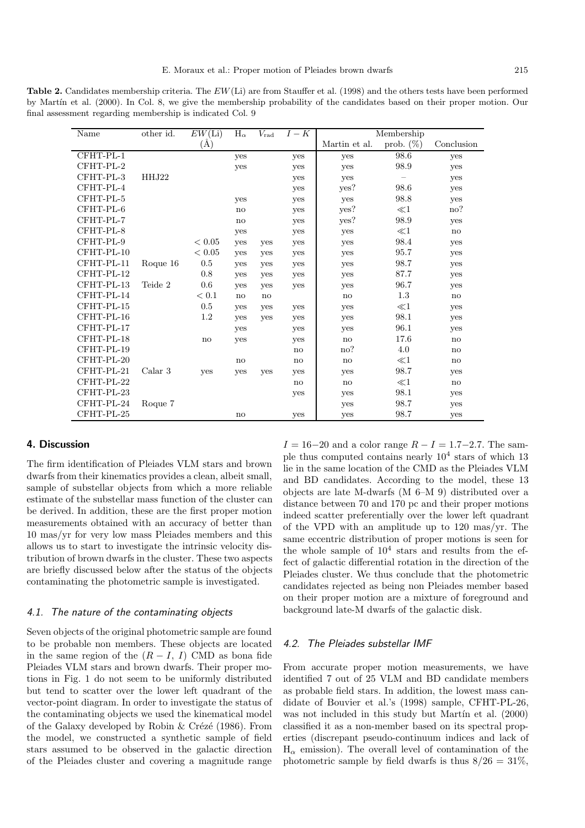**Table 2.** Candidates membership criteria. The EW(Li) are from Stauffer et al. (1998) and the others tests have been performed by Martín et al. (2000). In Col. 8, we give the membership probability of the candidates based on their proper motion. Our final assessment regarding membership is indicated Col. 9

| Name       | other id. | $\overline{EW}$ (Li) | $\rm H_\alpha$         | $V_{\rm rad}$          | $I-K$        | Membership    |              |                        |
|------------|-----------|----------------------|------------------------|------------------------|--------------|---------------|--------------|------------------------|
|            |           | $\rm(\AA)$           |                        |                        |              | Martin et al. | prob. $(\%)$ | Conclusion             |
| CFHT-PL-1  |           |                      | yes                    |                        | yes          | yes           | 98.6         | yes                    |
| CFHT-PL-2  |           |                      | yes                    |                        | yes          | yes           | 98.9         | yes                    |
| CFHT-PL-3  | HHJ22     |                      |                        |                        | yes          | yes           |              | yes                    |
| CFHT-PL-4  |           |                      |                        |                        | yes          | yes?          | 98.6         | yes                    |
| CFHT-PL-5  |           |                      | yes                    |                        | yes          | yes           | 98.8         | yes                    |
| CFHT-PL-6  |           |                      | $\mathbf{n}\mathbf{o}$ |                        | yes          | yes?          | $\ll$ 1      | no?                    |
| CFHT-PL-7  |           |                      | no                     |                        | yes          | yes?          | 98.9         | yes                    |
| CFHT-PL-8  |           |                      | yes                    |                        | yes          | yes           | $\ll$ 1      | no                     |
| CFHT-PL-9  |           | < 0.05               | yes                    | yes                    | yes          | yes           | 98.4         | yes                    |
| CFHT-PL-10 |           | < 0.05               | yes                    | yes                    | yes          | yes           | 95.7         | yes                    |
| CFHT-PL-11 | Roque 16  | $0.5\,$              | yes                    | yes                    | yes          | yes           | 98.7         | yes                    |
| CFHT-PL-12 |           | 0.8                  | yes                    | yes                    | yes          | yes           | 87.7         | yes                    |
| CFHT-PL-13 | Teide 2   | 0.6                  | yes                    | yes                    | yes          | yes           | 96.7         | yes                    |
| CFHT-PL-14 |           | < 0.1                | no                     | $\mathbf{n}\mathbf{o}$ |              | no            | 1.3          | $\mathbf{n}\mathbf{o}$ |
| CFHT-PL-15 |           | 0.5                  | yes                    | yes                    | yes          | yes           | $\ll$ 1      | yes                    |
| CFHT-PL-16 |           | 1.2                  | yes                    | yes                    | yes          | yes           | 98.1         | yes                    |
| CFHT-PL-17 |           |                      | yes                    |                        | yes          | yes           | 96.1         | yes                    |
| CFHT-PL-18 |           | no                   | yes                    |                        | yes          | no            | 17.6         | no                     |
| CFHT-PL-19 |           |                      |                        |                        | no           | no?           | 4.0          | $\mathbf{n}\mathbf{o}$ |
| CFHT-PL-20 |           |                      | no                     |                        | $\mathbf{n}$ | no            | $\ll$ 1      | no                     |
| CFHT-PL-21 | Calar 3   | <b>ves</b>           | yes                    | yes                    | yes          | yes           | 98.7         | yes                    |
| CFHT-PL-22 |           |                      |                        |                        | no           | no            | $\ll$ 1      | no                     |
| CFHT-PL-23 |           |                      |                        |                        | yes          | yes           | 98.1         | yes                    |
| CFHT-PL-24 | Roque 7   |                      |                        |                        |              | yes           | 98.7         | yes                    |
| CFHT-PL-25 |           |                      | no                     |                        | yes          | yes           | 98.7         | yes                    |

#### **4. Discussion**

The firm identification of Pleiades VLM stars and brown dwarfs from their kinematics provides a clean, albeit small, sample of substellar objects from which a more reliable estimate of the substellar mass function of the cluster can be derived. In addition, these are the first proper motion measurements obtained with an accuracy of better than 10 mas/yr for very low mass Pleiades members and this allows us to start to investigate the intrinsic velocity distribution of brown dwarfs in the cluster. These two aspects are briefly discussed below after the status of the objects contaminating the photometric sample is investigated.

#### 4.1. The nature of the contaminating objects

Seven objects of the original photometric sample are found to be probable non members. These objects are located in the same region of the  $(R - I, I)$  CMD as bona fide Pleiades VLM stars and brown dwarfs. Their proper motions in Fig. 1 do not seem to be uniformly distributed but tend to scatter over the lower left quadrant of the vector-point diagram. In order to investigate the status of the contaminating objects we used the kinematical model of the Galaxy developed by Robin  $&$  Crézé (1986). From the model, we constructed a synthetic sample of field stars assumed to be observed in the galactic direction of the Pleiades cluster and covering a magnitude range

 $I = 16-20$  and a color range  $R - I = 1.7-2.7$ . The sample thus computed contains nearly  $10^4$  stars of which 13 lie in the same location of the CMD as the Pleiades VLM and BD candidates. According to the model, these 13 objects are late M-dwarfs (M 6–M 9) distributed over a distance between 70 and 170 pc and their proper motions indeed scatter preferentially over the lower left quadrant of the VPD with an amplitude up to 120 mas/yr. The same eccentric distribution of proper motions is seen for the whole sample of  $10^4$  stars and results from the effect of galactic differential rotation in the direction of the Pleiades cluster. We thus conclude that the photometric candidates rejected as being non Pleiades member based on their proper motion are a mixture of foreground and background late-M dwarfs of the galactic disk.

## 4.2. The Pleiades substellar IMF

From accurate proper motion measurements, we have identified 7 out of 25 VLM and BD candidate members as probable field stars. In addition, the lowest mass candidate of Bouvier et al.'s (1998) sample, CFHT-PL-26, was not included in this study but Martín et al. (2000) classified it as a non-member based on its spectral properties (discrepant pseudo-continuum indices and lack of  $H_{\alpha}$  emission). The overall level of contamination of the photometric sample by field dwarfs is thus  $8/26 = 31\%$ .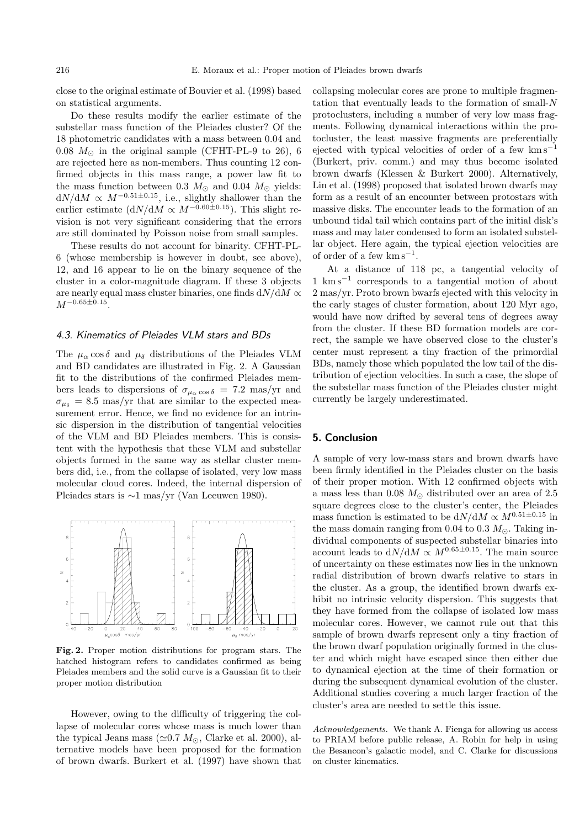close to the original estimate of Bouvier et al. (1998) based on statistical arguments.

Do these results modify the earlier estimate of the substellar mass function of the Pleiades cluster? Of the 18 photometric candidates with a mass between 0.04 and  $0.08~M_{\odot}$  in the original sample (CFHT-PL-9 to 26), 6 are rejected here as non-members. Thus counting 12 confirmed objects in this mass range, a power law fit to the mass function between 0.3  $M_{\odot}$  and 0.04  $M_{\odot}$  yields:  $dN/dM \propto M^{-0.51\pm0.15}$ , i.e., slightly shallower than the earlier estimate  $\left(\frac{dN}{dM} \propto M^{-0.60\pm0.15}\right)$ . This slight revision is not very significant considering that the errors are still dominated by Poisson noise from small samples.

These results do not account for binarity. CFHT-PL-6 (whose membership is however in doubt, see above), 12, and 16 appear to lie on the binary sequence of the cluster in a color-magnitude diagram. If these 3 objects are nearly equal mass cluster binaries, one finds  $dN/dM \propto$  $M^{-0.65 \pm 0.15}$ .

## 4.3. Kinematics of Pleiades VLM stars and BDs

The  $\mu_{\alpha}$  cos  $\delta$  and  $\mu_{\delta}$  distributions of the Pleiades VLM and BD candidates are illustrated in Fig. 2. A Gaussian fit to the distributions of the confirmed Pleiades members leads to dispersions of  $\sigma_{\mu_{\alpha} \cos \delta}$  = 7.2 mas/yr and  $\sigma_{\mu_{\delta}} = 8.5$  mas/yr that are similar to the expected measurement error. Hence, we find no evidence for an intrinsic dispersion in the distribution of tangential velocities of the VLM and BD Pleiades members. This is consistent with the hypothesis that these VLM and substellar objects formed in the same way as stellar cluster members did, i.e., from the collapse of isolated, very low mass molecular cloud cores. Indeed, the internal dispersion of Pleiades stars is ∼1 mas/yr (Van Leeuwen 1980).



**Fig. 2.** Proper motion distributions for program stars. The hatched histogram refers to candidates confirmed as being Pleiades members and the solid curve is a Gaussian fit to their proper motion distribution

However, owing to the difficulty of triggering the collapse of molecular cores whose mass is much lower than the typical Jeans mass ( $\simeq 0.7$   $M_{\odot}$ , Clarke et al. 2000), alternative models have been proposed for the formation of brown dwarfs. Burkert et al. (1997) have shown that collapsing molecular cores are prone to multiple fragmentation that eventually leads to the formation of small- $N$ protoclusters, including a number of very low mass fragments. Following dynamical interactions within the protocluster, the least massive fragments are preferentially ejected with typical velocities of order of a few  $km s^{-1}$ (Burkert, priv. comm.) and may thus become isolated brown dwarfs (Klessen & Burkert 2000). Alternatively, Lin et al. (1998) proposed that isolated brown dwarfs may form as a result of an encounter between protostars with massive disks. The encounter leads to the formation of an unbound tidal tail which contains part of the initial disk's mass and may later condensed to form an isolated substellar object. Here again, the typical ejection velocities are of order of a few  $km s^{-1}$ .

At a distance of 118 pc, a tangential velocity of 1 km s−<sup>1</sup> corresponds to a tangential motion of about 2 mas/yr. Proto brown bwarfs ejected with this velocity in the early stages of cluster formation, about 120 Myr ago, would have now drifted by several tens of degrees away from the cluster. If these BD formation models are correct, the sample we have observed close to the cluster's center must represent a tiny fraction of the primordial BDs, namely those which populated the low tail of the distribution of ejection velocities. In such a case, the slope of the substellar mass function of the Pleiades cluster might currently be largely underestimated.

## **5. Conclusion**

A sample of very low-mass stars and brown dwarfs have been firmly identified in the Pleiades cluster on the basis of their proper motion. With 12 confirmed objects with a mass less than 0.08  $M_{\odot}$  distributed over an area of 2.5 square degrees close to the cluster's center, the Pleiades mass function is estimated to be  ${\rm d}N/{\rm d}M \propto M^{0.51\pm0.15}$  in the mass domain ranging from 0.04 to 0.3  $M_{\odot}$ . Taking individual components of suspected substellar binaries into account leads to  $dN/dM \propto M^{0.65\pm0.15}$ . The main source of uncertainty on these estimates now lies in the unknown radial distribution of brown dwarfs relative to stars in the cluster. As a group, the identified brown dwarfs exhibit no intrinsic velocity dispersion. This suggests that they have formed from the collapse of isolated low mass molecular cores. However, we cannot rule out that this sample of brown dwarfs represent only a tiny fraction of the brown dwarf population originally formed in the cluster and which might have escaped since then either due to dynamical ejection at the time of their formation or during the subsequent dynamical evolution of the cluster. Additional studies covering a much larger fraction of the cluster's area are needed to settle this issue.

Acknowledgements. We thank A. Fienga for allowing us access to PRIAM before public release, A. Robin for help in using the Besancon's galactic model, and C. Clarke for discussions on cluster kinematics.